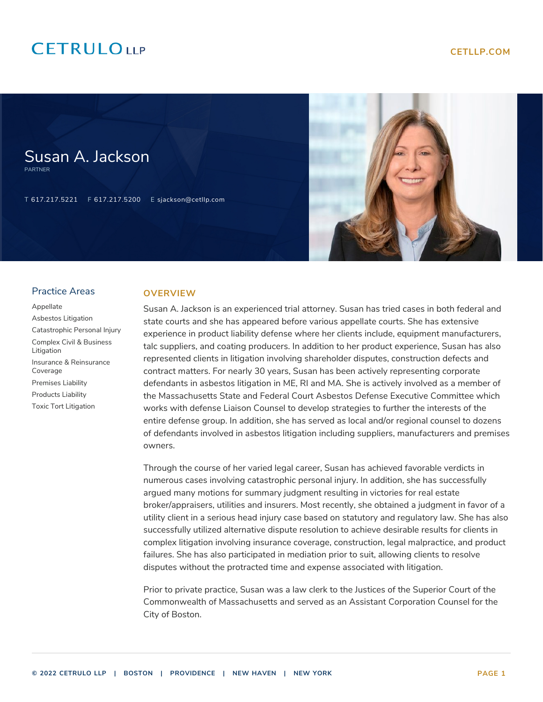# **CETRULOUP**

Susan A. Jackson

T 617.217.5221 F 617.217.5200 E sjackson@cetllp.com



#### Practice Areas

PARTNER

[Appellate](https://www.cetllp.com/practice-areas/appellate/) [Asbestos Litigation](https://www.cetllp.com/practice-areas/asbestos-litigation/) [Catastrophic Personal Injury](https://www.cetllp.com/practice-areas/catastrophic-personal-injury/) [Complex Civil & Business](https://www.cetllp.com/practice-areas/complex-civil-business-litigation/) [Litigation](https://www.cetllp.com/practice-areas/complex-civil-business-litigation/) [Insurance & Reinsurance](https://www.cetllp.com/practice-areas/insurance-reinsurance-coverage/) [Coverage](https://www.cetllp.com/practice-areas/insurance-reinsurance-coverage/) [Premises Liability](https://www.cetllp.com/practice-areas/premises-liability/) [Products Liability](https://www.cetllp.com/practice-areas/products-liability/) [Toxic Tort Litigation](https://www.cetllp.com/practice-areas/toxic-tort-litigation/)

### **OVERVIEW**

Susan A. Jackson is an experienced trial attorney. Susan has tried cases in both federal and state courts and she has appeared before various appellate courts. She has extensive experience in product liability defense where her clients include, equipment manufacturers, talc suppliers, and coating producers. In addition to her product experience, Susan has also represented clients in litigation involving shareholder disputes, construction defects and contract matters. For nearly 30 years, Susan has been actively representing corporate defendants in asbestos litigation in ME, RI and MA. She is actively involved as a member of the Massachusetts State and Federal Court Asbestos Defense Executive Committee which works with defense Liaison Counsel to develop strategies to further the interests of the entire defense group. In addition, she has served as local and/or regional counsel to dozens of defendants involved in asbestos litigation including suppliers, manufacturers and premises owners.

Through the course of her varied legal career, Susan has achieved favorable verdicts in numerous cases involving catastrophic personal injury. In addition, she has successfully argued many motions for summary judgment resulting in victories for real estate broker/appraisers, utilities and insurers. Most recently, she obtained a judgment in favor of a utility client in a serious head injury case based on statutory and regulatory law. She has also successfully utilized alternative dispute resolution to achieve desirable results for clients in complex litigation involving insurance coverage, construction, legal malpractice, and product failures. She has also participated in mediation prior to suit, allowing clients to resolve disputes without the protracted time and expense associated with litigation.

Prior to private practice, Susan was a law clerk to the Justices of the Superior Court of the Commonwealth of Massachusetts and served as an Assistant Corporation Counsel for the City of Boston.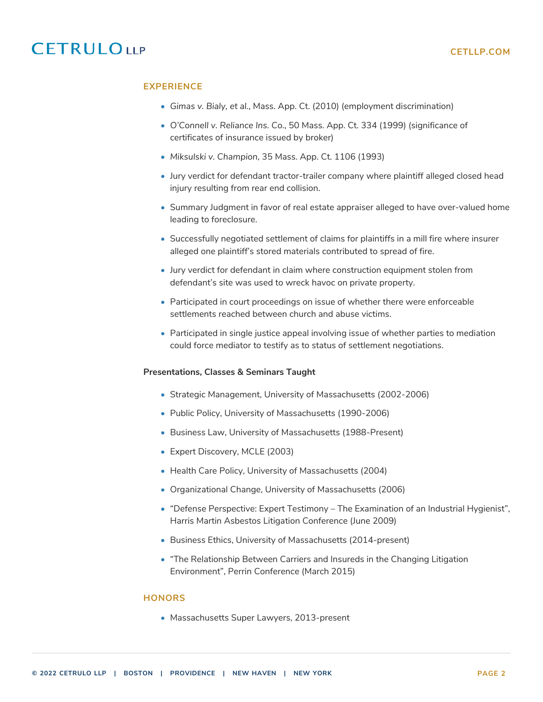# **CETRULOUP**

## **EXPERIENCE**

- *Gimas v. Bialy, et al.*, Mass. App. Ct. (2010) (employment discrimination)
- *O'Connell v. Reliance Ins. Co.*, 50 Mass. App. Ct. 334 (1999) (significance of certificates of insurance issued by broker)
- *Miksulski v. Champion*, 35 Mass. App. Ct. 1106 (1993)
- Jury verdict for defendant tractor-trailer company where plaintiff alleged closed head injury resulting from rear end collision.
- Summary Judgment in favor of real estate appraiser alleged to have over-valued home leading to foreclosure.
- Successfully negotiated settlement of claims for plaintiffs in a mill fire where insurer alleged one plaintiff's stored materials contributed to spread of fire.
- Jury verdict for defendant in claim where construction equipment stolen from defendant's site was used to wreck havoc on private property.
- Participated in court proceedings on issue of whether there were enforceable settlements reached between church and abuse victims.
- Participated in single justice appeal involving issue of whether parties to mediation could force mediator to testify as to status of settlement negotiations.

### **Presentations, Classes & Seminars Taught**

- Strategic Management, University of Massachusetts (2002-2006)
- Public Policy, University of Massachusetts (1990-2006)
- Business Law, University of Massachusetts (1988-Present)
- Expert Discovery, MCLE (2003)
- Health Care Policy, University of Massachusetts (2004)
- Organizational Change, University of Massachusetts (2006)
- "Defense Perspective: Expert Testimony The Examination of an Industrial Hygienist", Harris Martin Asbestos Litigation Conference (June 2009)
- Business Ethics, University of Massachusetts (2014-present)
- "The Relationship Between Carriers and Insureds in the Changing Litigation Environment", Perrin Conference (March 2015)

#### **HONORS**

• Massachusetts Super Lawyers, 2013-present